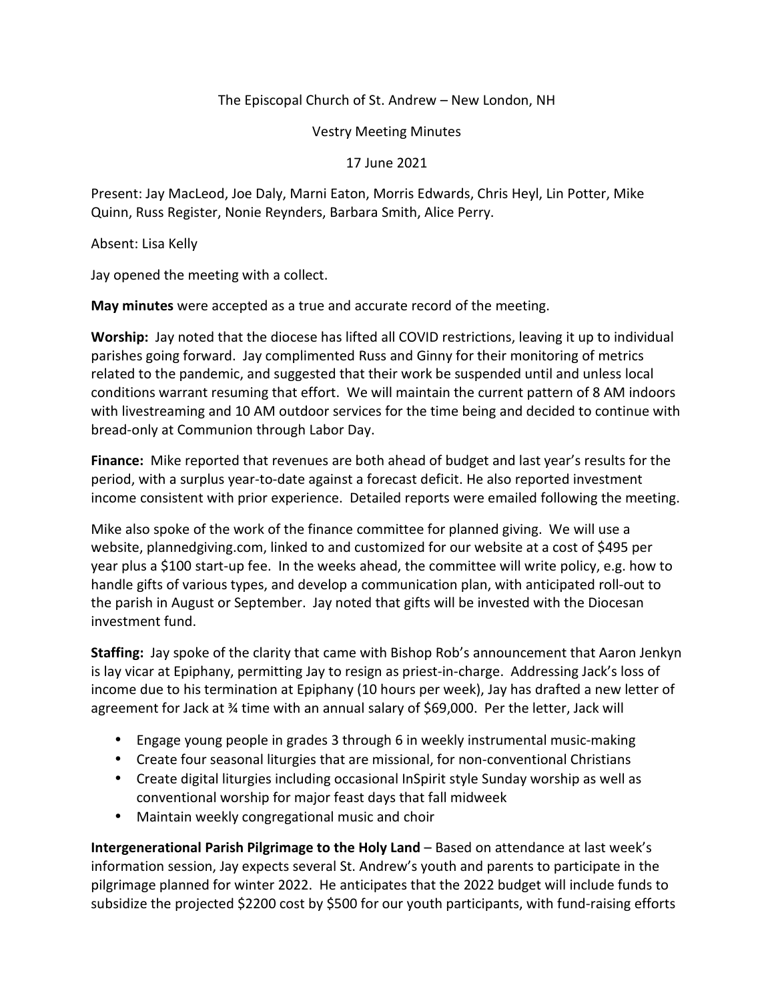## The Episcopal Church of St. Andrew – New London, NH

Vestry Meeting Minutes

17 June 2021

Present: Jay MacLeod, Joe Daly, Marni Eaton, Morris Edwards, Chris Heyl, Lin Potter, Mike Quinn, Russ Register, Nonie Reynders, Barbara Smith, Alice Perry.

Absent: Lisa Kelly

Jay opened the meeting with a collect.

**May minutes** were accepted as a true and accurate record of the meeting.

**Worship:** Jay noted that the diocese has lifted all COVID restrictions, leaving it up to individual parishes going forward. Jay complimented Russ and Ginny for their monitoring of metrics related to the pandemic, and suggested that their work be suspended until and unless local conditions warrant resuming that effort. We will maintain the current pattern of 8 AM indoors with livestreaming and 10 AM outdoor services for the time being and decided to continue with bread-only at Communion through Labor Day.

**Finance:** Mike reported that revenues are both ahead of budget and last year's results for the period, with a surplus year-to-date against a forecast deficit. He also reported investment income consistent with prior experience. Detailed reports were emailed following the meeting.

Mike also spoke of the work of the finance committee for planned giving. We will use a website, plannedgiving.com, linked to and customized for our website at a cost of \$495 per year plus a \$100 start-up fee. In the weeks ahead, the committee will write policy, e.g. how to handle gifts of various types, and develop a communication plan, with anticipated roll-out to the parish in August or September. Jay noted that gifts will be invested with the Diocesan investment fund.

**Staffing:** Jay spoke of the clarity that came with Bishop Rob's announcement that Aaron Jenkyn is lay vicar at Epiphany, permitting Jay to resign as priest-in-charge. Addressing Jack's loss of income due to his termination at Epiphany (10 hours per week), Jay has drafted a new letter of agreement for Jack at 34 time with an annual salary of \$69,000. Per the letter, Jack will

- Engage young people in grades 3 through 6 in weekly instrumental music-making
- Create four seasonal liturgies that are missional, for non-conventional Christians
- Create digital liturgies including occasional InSpirit style Sunday worship as well as conventional worship for major feast days that fall midweek
- Maintain weekly congregational music and choir

**Intergenerational Parish Pilgrimage to the Holy Land** – Based on attendance at last week's information session, Jay expects several St. Andrew's youth and parents to participate in the pilgrimage planned for winter 2022. He anticipates that the 2022 budget will include funds to subsidize the projected \$2200 cost by \$500 for our youth participants, with fund-raising efforts